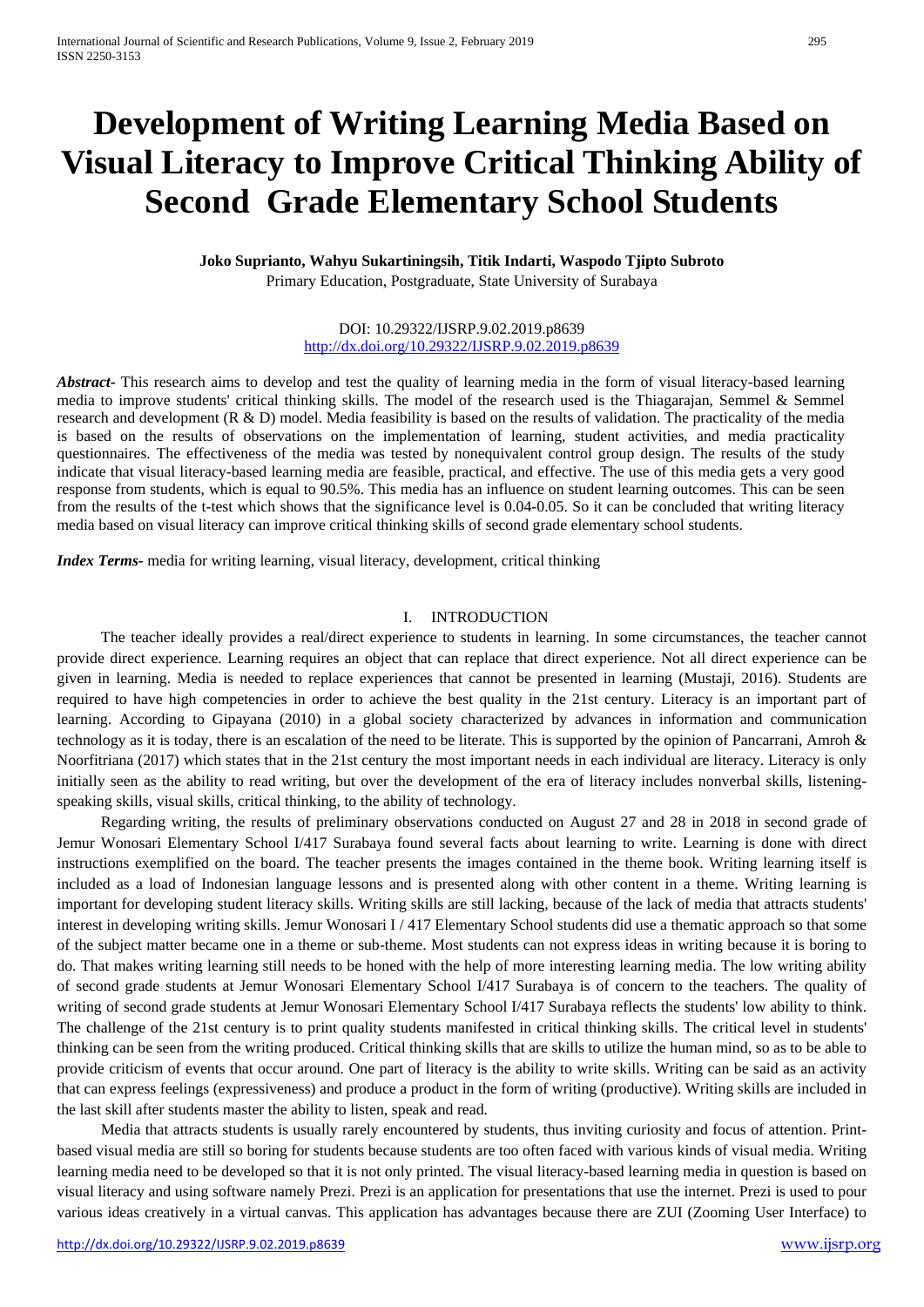# **Development of Writing Learning Media Based on Visual Literacy to Improve Critical Thinking Ability of Second Grade Elementary School Students**

# **Joko Suprianto, Wahyu Sukartiningsih, Titik Indarti, Waspodo Tjipto Subroto** Primary Education, Postgraduate, State University of Surabaya

# DOI: 10.29322/IJSRP.9.02.2019.p8639 <http://dx.doi.org/10.29322/IJSRP.9.02.2019.p8639>

*Abstract-* This research aims to develop and test the quality of learning media in the form of visual literacy-based learning media to improve students' critical thinking skills. The model of the research used is the Thiagarajan, Semmel & Semmel research and development (R & D) model. Media feasibility is based on the results of validation. The practicality of the media is based on the results of observations on the implementation of learning, student activities, and media practicality questionnaires. The effectiveness of the media was tested by nonequivalent control group design. The results of the study indicate that visual literacy-based learning media are feasible, practical, and effective. The use of this media gets a very good response from students, which is equal to 90.5%. This media has an influence on student learning outcomes. This can be seen from the results of the t-test which shows that the significance level is 0.04-0.05. So it can be concluded that writing literacy media based on visual literacy can improve critical thinking skills of second grade elementary school students.

*Index Terms-* media for writing learning, visual literacy, development, critical thinking

### I. INTRODUCTION

The teacher ideally provides a real/direct experience to students in learning. In some circumstances, the teacher cannot provide direct experience. Learning requires an object that can replace that direct experience. Not all direct experience can be given in learning. Media is needed to replace experiences that cannot be presented in learning (Mustaji, 2016). Students are required to have high competencies in order to achieve the best quality in the 21st century. Literacy is an important part of learning. According to Gipayana (2010) in a global society characterized by advances in information and communication technology as it is today, there is an escalation of the need to be literate. This is supported by the opinion of Pancarrani, Amroh & Noorfitriana (2017) which states that in the 21st century the most important needs in each individual are literacy. Literacy is only initially seen as the ability to read writing, but over the development of the era of literacy includes nonverbal skills, listeningspeaking skills, visual skills, critical thinking, to the ability of technology.

Regarding writing, the results of preliminary observations conducted on August 27 and 28 in 2018 in second grade of Jemur Wonosari Elementary School I/417 Surabaya found several facts about learning to write. Learning is done with direct instructions exemplified on the board. The teacher presents the images contained in the theme book. Writing learning itself is included as a load of Indonesian language lessons and is presented along with other content in a theme. Writing learning is important for developing student literacy skills. Writing skills are still lacking, because of the lack of media that attracts students' interest in developing writing skills. Jemur Wonosari I / 417 Elementary School students did use a thematic approach so that some of the subject matter became one in a theme or sub-theme. Most students can not express ideas in writing because it is boring to do. That makes writing learning still needs to be honed with the help of more interesting learning media. The low writing ability of second grade students at Jemur Wonosari Elementary School I/417 Surabaya is of concern to the teachers. The quality of writing of second grade students at Jemur Wonosari Elementary School I/417 Surabaya reflects the students' low ability to think. The challenge of the 21st century is to print quality students manifested in critical thinking skills. The critical level in students' thinking can be seen from the writing produced. Critical thinking skills that are skills to utilize the human mind, so as to be able to provide criticism of events that occur around. One part of literacy is the ability to write skills. Writing can be said as an activity that can express feelings (expressiveness) and produce a product in the form of writing (productive). Writing skills are included in the last skill after students master the ability to listen, speak and read.

Media that attracts students is usually rarely encountered by students, thus inviting curiosity and focus of attention. Printbased visual media are still so boring for students because students are too often faced with various kinds of visual media. Writing learning media need to be developed so that it is not only printed. The visual literacy-based learning media in question is based on visual literacy and using software namely Prezi. Prezi is an application for presentations that use the internet. Prezi is used to pour various ideas creatively in a virtual canvas. This application has advantages because there are ZUI (Zooming User Interface) to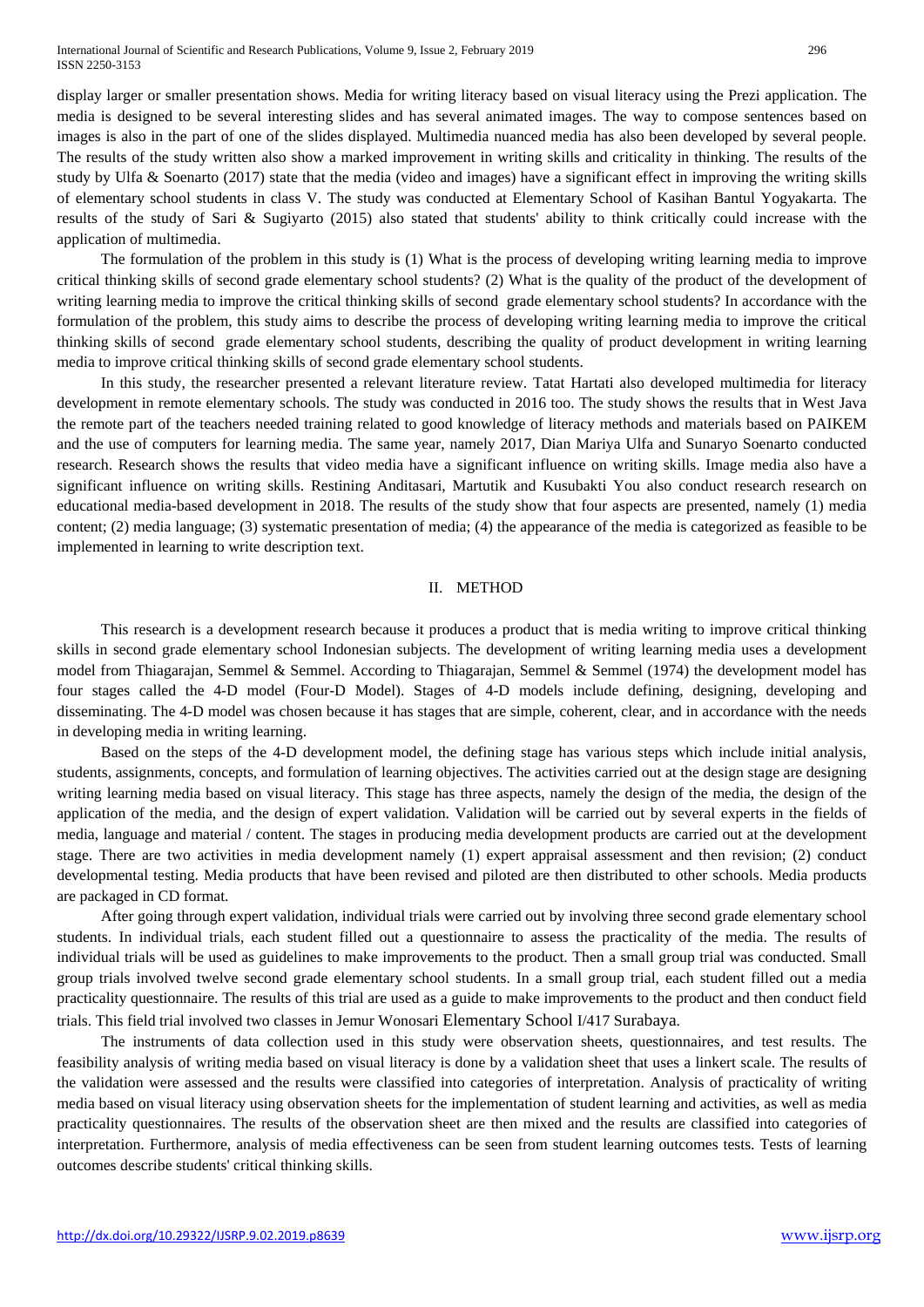display larger or smaller presentation shows. Media for writing literacy based on visual literacy using the Prezi application. The media is designed to be several interesting slides and has several animated images. The way to compose sentences based on images is also in the part of one of the slides displayed. Multimedia nuanced media has also been developed by several people. The results of the study written also show a marked improvement in writing skills and criticality in thinking. The results of the study by Ulfa & Soenarto (2017) state that the media (video and images) have a significant effect in improving the writing skills of elementary school students in class V. The study was conducted at Elementary School of Kasihan Bantul Yogyakarta. The results of the study of Sari & Sugiyarto (2015) also stated that students' ability to think critically could increase with the application of multimedia.

The formulation of the problem in this study is (1) What is the process of developing writing learning media to improve critical thinking skills of second grade elementary school students? (2) What is the quality of the product of the development of writing learning media to improve the critical thinking skills of second grade elementary school students? In accordance with the formulation of the problem, this study aims to describe the process of developing writing learning media to improve the critical thinking skills of second grade elementary school students, describing the quality of product development in writing learning media to improve critical thinking skills of second grade elementary school students.

In this study, the researcher presented a relevant literature review. Tatat Hartati also developed multimedia for literacy development in remote elementary schools. The study was conducted in 2016 too. The study shows the results that in West Java the remote part of the teachers needed training related to good knowledge of literacy methods and materials based on PAIKEM and the use of computers for learning media. The same year, namely 2017, Dian Mariya Ulfa and Sunaryo Soenarto conducted research. Research shows the results that video media have a significant influence on writing skills. Image media also have a significant influence on writing skills. Restining Anditasari, Martutik and Kusubakti You also conduct research research on educational media-based development in 2018. The results of the study show that four aspects are presented, namely (1) media content; (2) media language; (3) systematic presentation of media; (4) the appearance of the media is categorized as feasible to be implemented in learning to write description text.

# II. METHOD

This research is a development research because it produces a product that is media writing to improve critical thinking skills in second grade elementary school Indonesian subjects. The development of writing learning media uses a development model from Thiagarajan, Semmel & Semmel. According to Thiagarajan, Semmel & Semmel (1974) the development model has four stages called the 4-D model (Four-D Model). Stages of 4-D models include defining, designing, developing and disseminating. The 4-D model was chosen because it has stages that are simple, coherent, clear, and in accordance with the needs in developing media in writing learning.

Based on the steps of the 4-D development model, the defining stage has various steps which include initial analysis, students, assignments, concepts, and formulation of learning objectives. The activities carried out at the design stage are designing writing learning media based on visual literacy. This stage has three aspects, namely the design of the media, the design of the application of the media, and the design of expert validation. Validation will be carried out by several experts in the fields of media, language and material / content. The stages in producing media development products are carried out at the development stage. There are two activities in media development namely (1) expert appraisal assessment and then revision; (2) conduct developmental testing. Media products that have been revised and piloted are then distributed to other schools. Media products are packaged in CD format.

After going through expert validation, individual trials were carried out by involving three second grade elementary school students. In individual trials, each student filled out a questionnaire to assess the practicality of the media. The results of individual trials will be used as guidelines to make improvements to the product. Then a small group trial was conducted. Small group trials involved twelve second grade elementary school students. In a small group trial, each student filled out a media practicality questionnaire. The results of this trial are used as a guide to make improvements to the product and then conduct field trials. This field trial involved two classes in Jemur Wonosari Elementary School I/417 Surabaya.

The instruments of data collection used in this study were observation sheets, questionnaires, and test results. The feasibility analysis of writing media based on visual literacy is done by a validation sheet that uses a linkert scale. The results of the validation were assessed and the results were classified into categories of interpretation. Analysis of practicality of writing media based on visual literacy using observation sheets for the implementation of student learning and activities, as well as media practicality questionnaires. The results of the observation sheet are then mixed and the results are classified into categories of interpretation. Furthermore, analysis of media effectiveness can be seen from student learning outcomes tests. Tests of learning outcomes describe students' critical thinking skills.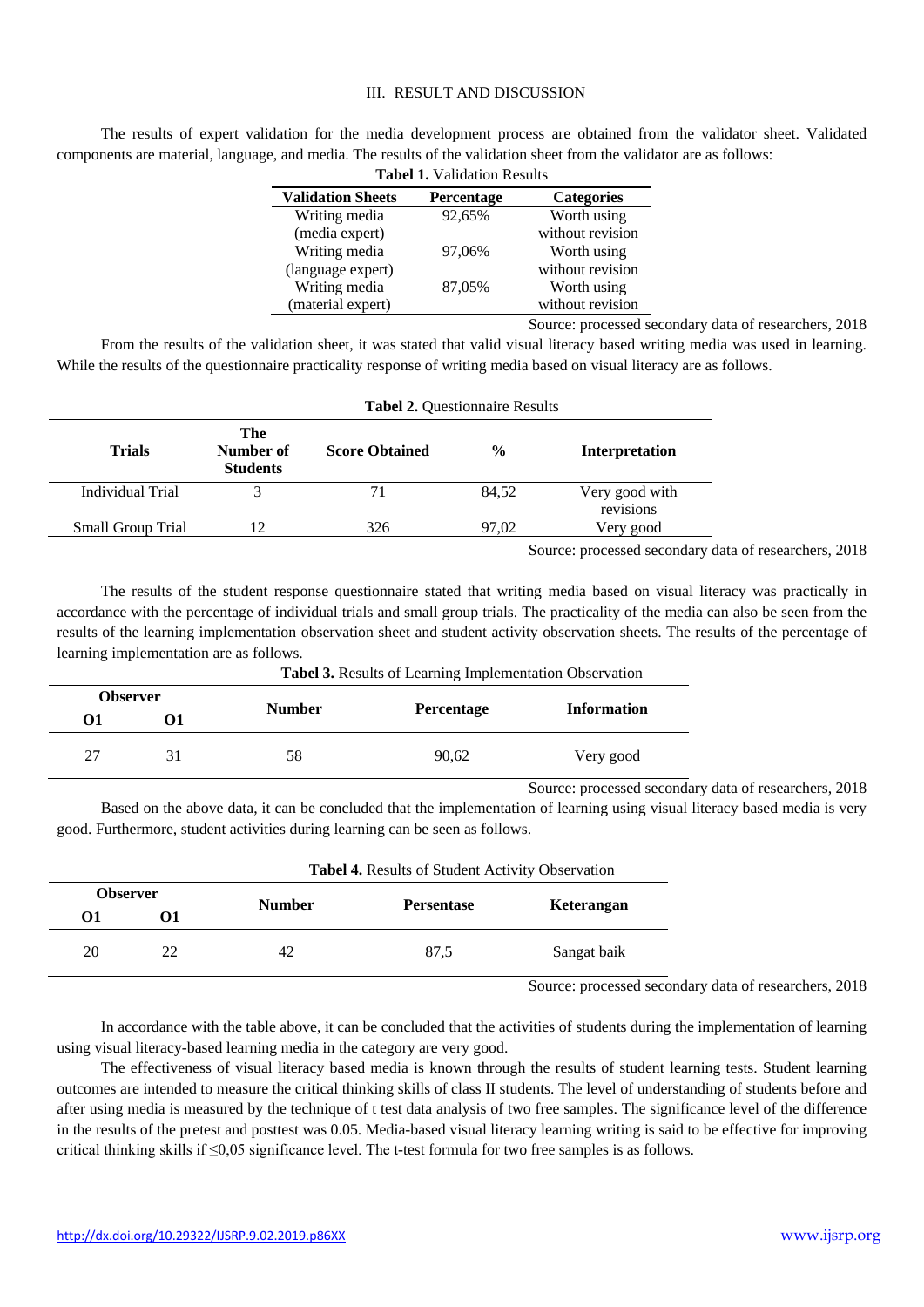# III. RESULT AND DISCUSSION

The results of expert validation for the media development process are obtained from the validator sheet. Validated components are material, language, and media. The results of the validation sheet from the validator are as follows:

| <b>Tabel 1.</b> Validation Results |            |                      |  |  |
|------------------------------------|------------|----------------------|--|--|
| <b>Validation Sheets</b>           | Percentage | <b>Categories</b>    |  |  |
| Writing media                      | 92,65%     | Worth using          |  |  |
| (media expert)                     |            | without revision     |  |  |
| Writing media                      | 97,06%     | Worth using          |  |  |
| (language expert)                  |            | without revision     |  |  |
| Writing media                      | 87,05%     | Worth using          |  |  |
| (material expert)                  |            | without revision     |  |  |
|                                    |            | Canada a magaalad ah |  |  |

Source: processed secondary data of researchers, 2018

From the results of the validation sheet, it was stated that valid visual literacy based writing media was used in learning. While the results of the questionnaire practicality response of writing media based on visual literacy are as follows.

| <b>Tabel 2. Questionnaire Results</b> |                                     |                       |               |                                          |
|---------------------------------------|-------------------------------------|-----------------------|---------------|------------------------------------------|
| <b>Trials</b>                         | The<br>Number of<br><b>Students</b> | <b>Score Obtained</b> | $\frac{0}{0}$ | Interpretation                           |
| Individual Trial                      |                                     |                       | 84,52         | Very good with<br>revisions              |
| <b>Small Group Trial</b>              | 12                                  | 326                   | 97.02         | Very good                                |
|                                       |                                     |                       |               | Course research coordom data of recepted |

Source: processed secondary data of researchers, 2018

The results of the student response questionnaire stated that writing media based on visual literacy was practically in accordance with the percentage of individual trials and small group trials. The practicality of the media can also be seen from the results of the learning implementation observation sheet and student activity observation sheets. The results of the percentage of learning implementation are as follows.

|                 |    | <b>Tabel 3.</b> Results of Learning Implementation Observation |                   |                    |  |  |
|-----------------|----|----------------------------------------------------------------|-------------------|--------------------|--|--|
| <b>Observer</b> |    |                                                                |                   | <b>Information</b> |  |  |
| 01              |    | <b>Number</b>                                                  | <b>Percentage</b> |                    |  |  |
| 27              | 31 | 58                                                             | 90,62             | Very good          |  |  |

**Tabel 3.** Results of Learning Implementation Observation

Source: processed secondary data of researchers, 2018 Based on the above data, it can be concluded that the implementation of learning using visual literacy based media is very good. Furthermore, student activities during learning can be seen as follows.

|                 |    | <b>Tabel 4.</b> Results of Student Activity Observation |                   |             |  |
|-----------------|----|---------------------------------------------------------|-------------------|-------------|--|
| <b>Observer</b> |    | <b>Number</b>                                           | <b>Persentase</b> | Keterangan  |  |
| 01              | 01 |                                                         |                   |             |  |
| 20              | 22 | 42                                                      | 87.5              | Sangat baik |  |

Source: processed secondary data of researchers, 2018

In accordance with the table above, it can be concluded that the activities of students during the implementation of learning using visual literacy-based learning media in the category are very good.

The effectiveness of visual literacy based media is known through the results of student learning tests. Student learning outcomes are intended to measure the critical thinking skills of class II students. The level of understanding of students before and after using media is measured by the technique of t test data analysis of two free samples. The significance level of the difference in the results of the pretest and posttest was 0.05. Media-based visual literacy learning writing is said to be effective for improving critical thinking skills if ≤0,05 significance level. The t-test formula for two free samples is as follows.